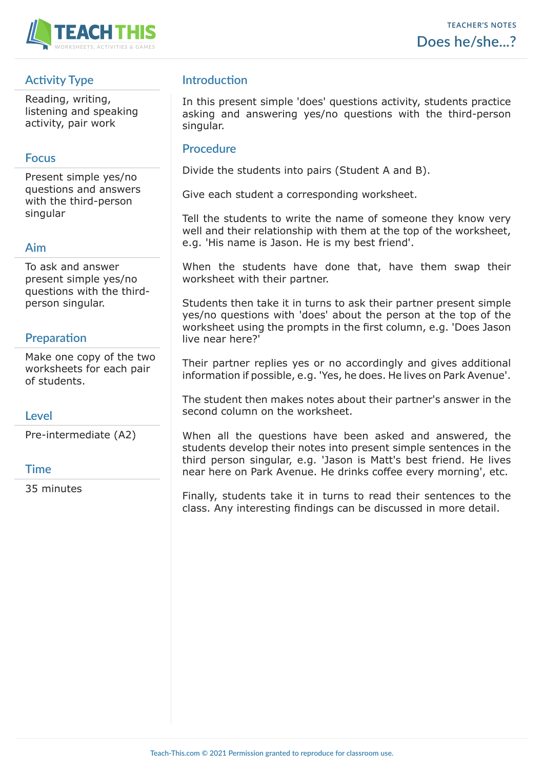

## **Activity Type**

Reading, writing, listening and speaking activity, pair work

## **Focus**

Present simple yes/no questions and answers with the third-person singular

## **Aim**

To ask and answer present simple yes/no questions with the thirdperson singular.

## **Preparation**

Make one copy of the two worksheets for each pair of students.

### **Level**

Pre-intermediate (A2)

#### **Time**

35 minutes

## **Introduction**

In this present simple 'does' questions activity, students practice asking and answering yes/no questions with the third-person singular.

#### **Procedure**

Divide the students into pairs (Student A and B).

Give each student a corresponding worksheet.

Tell the students to write the name of someone they know very well and their relationship with them at the top of the worksheet, e.g. 'His name is Jason. He is my best friend'.

When the students have done that, have them swap their worksheet with their partner.

Students then take it in turns to ask their partner present simple yes/no questions with 'does' about the person at the top of the worksheet using the prompts in the first column, e.g. 'Does Jason live near here?'

Their partner replies yes or no accordingly and gives additional information if possible, e.g. 'Yes, he does. He lives on Park Avenue'.

The student then makes notes about their partner's answer in the second column on the worksheet.

When all the questions have been asked and answered, the students develop their notes into present simple sentences in the third person singular, e.g. 'Jason is Matt's best friend. He lives near here on Park Avenue. He drinks coffee every morning', etc.

Finally, students take it in turns to read their sentences to the class. Any interesting findings can be discussed in more detail.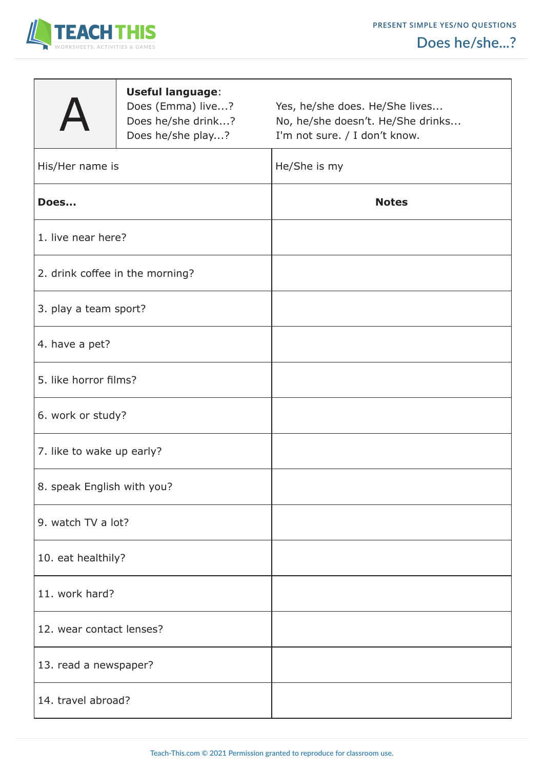



|  | Does he/she? |  |
|--|--------------|--|



 **Useful language**:

Does (Emma) live...? Yes, he/she does. He/She lives... Does he/she drink...? No, he/she doesn't. He/She drinks... Does he/she play...? I'm not sure. / I don't know.

| He/She is my |
|--------------|
| <b>Notes</b> |
|              |
|              |
|              |
|              |
|              |
|              |
|              |
|              |
|              |
|              |
|              |
|              |
|              |
|              |
|              |

T